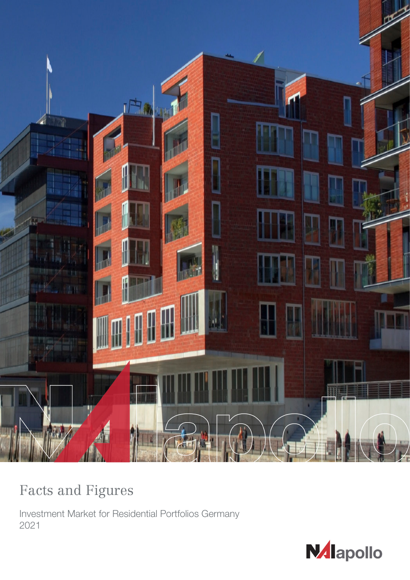

# Facts and Figures

Investment Market for Residential Portfolios Germany 2021

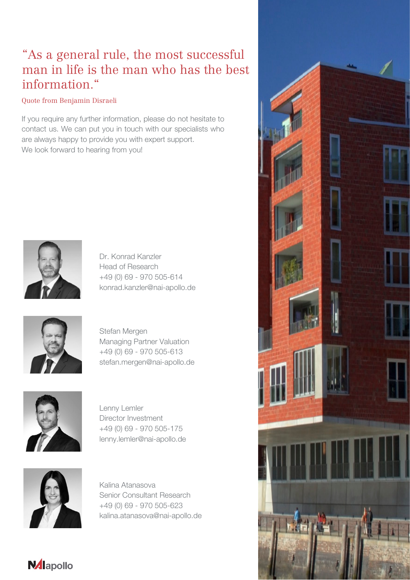## "As a general rule, the most successful man in life is the man who has the best information."

## Quote from Benjamin Disraeli

If you require any further information, please do not hesitate to contact us. We can put you in touch with our specialists who are always happy to provide you with expert support. We look forward to hearing from you!



Dr. Konrad Kanzler Head of Research +49 (0) 69 - 970 505-614 konrad.kanzler@nai-apollo.de



Stefan Mergen Managing Partner Valuation +49 (0) 69 - 970 505-613 stefan.mergen@nai-apollo.de



Lenny Lemler Director Investment +49 (0) 69 - 970 505-175 lenny.lemler@nai-apollo.de



**N**dlapollo

Kalina Atanasova Senior Consultant Research +49 (0) 69 - 970 505-623 kalina.atanasova@nai-apollo.de

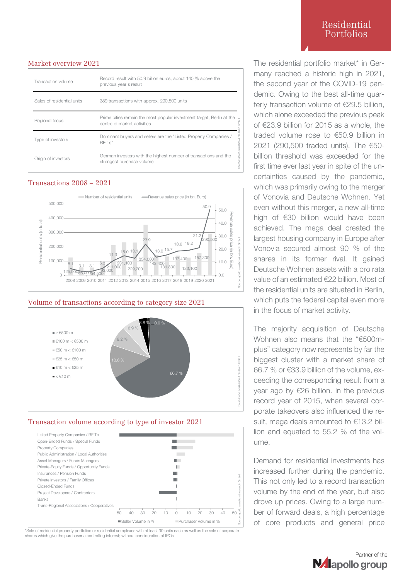#### Market overview 2021

| Transaction volume         | Record result with 50.9 billion euros, about 140 % above the<br>previous year's result               |
|----------------------------|------------------------------------------------------------------------------------------------------|
| Sales of residential units | 389 transactions with approx. 290,500 units                                                          |
| Regional focus             | Prime cities remain the most popular investment target, Berlin at the<br>centre of market activities |
| Type of investors          | Dominant buyers and sellers are the "Listed Property Companies /<br>REIT <sub>s</sub> "              |
| Origin of investors        | German investors with the highest number of transactions and the<br>strongest purchase volume        |

#### Transactions 2008 – 2021



#### Volume of transactions according to category size 2021



#### Transaction volume according to type of investor 2021



\*Sale of residential property portfolios or residential complexes with at least 30 units each as well as the sale of corporate shares which give the purchaser a controlling interest; without consideration of IPOs

## Residential Portfolios

The residential portfolio market\* in Germany reached a historic high in 2021, the second year of the COVID-19 pandemic. Owing to the best all-time quarterly transaction volume of €29.5 billion. which alone exceeded the previous peak of €23.9 billion for 2015 as a whole, the traded volume rose to €50.9 billion in 2021 (290,500 traded units). The €50 billion threshold was exceeded for the first time ever last year in spite of the uncertainties caused by the pandemic, which was primarily owing to the merger of Vonovia and Deutsche Wohnen. Yet even without this merger, a new all-time high of €30 billion would have been achieved. The mega deal created the largest housing company in Europe after Vonovia secured almost 90 % of the shares in its former rival. It gained Deutsche Wohnen assets with a pro rata value of an estimated €22 billion. Most of the residential units are situated in Berlin, which puts the federal capital even more in the focus of market activity.

The majority acquisition of Deutsche Wohnen also means that the "€500mplus" category now represents by far the biggest cluster with a market share of 66.7 % or €33.9 billion of the volume, exceeding the corresponding result from a year ago by €26 billion. In the previous record year of 2015, when several corporate takeovers also influenced the result, mega deals amounted to €13.2 billion and equated to 55.2 % of the volume.

Demand for residential investments has increased further during the pandemic. This not only led to a record transaction volume by the end of the year, but also drove up prices. Owing to a large number of forward deals, a high percentage of core products and general price

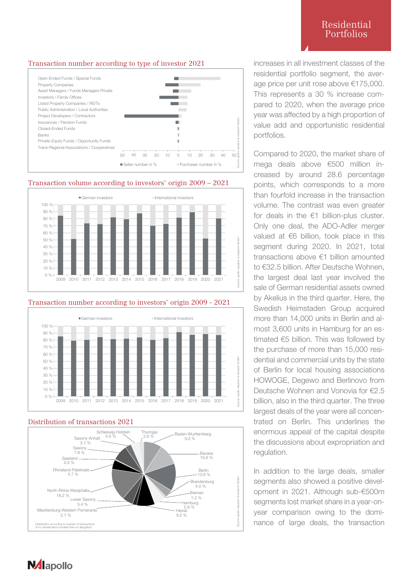## Residential Portfolios

## Transaction number according to type of investor 2021



Transaction volume according to investors' origin 2009 – 2021



## Transaction number according to investors' origin 2009 - 2021



## Distribution of transactions 2021



increases in all investment classes of the residential portfolio segment, the average price per unit rose above €175,000. This represents a 30 % increase compared to 2020, when the average price year was affected by a high proportion of value add and opportunistic residential portfolios.

Compared to 2020, the market share of mega deals above €500 million increased by around 28.6 percentage points, which corresponds to a more than fourfold increase in the transaction volume. The contrast was even greater for deals in the €1 billion-plus cluster. Only one deal, the ADO-Adler merger valued at €6 billion, took place in this segment during 2020. In 2021, total transactions above €1 billion amounted to €32.5 billion. After Deutsche Wohnen, the largest deal last year involved the sale of German residential assets owned by Akelius in the third quarter. Here, the Swedish Heimstaden Group acquired more than 14,000 units in Berlin and almost 3,600 units in Hamburg for an estimated €5 billion. This was followed by the purchase of more than 15,000 residential and commercial units by the state of Berlin for local housing associations HOWOGE, Degewo and Berlinovo from Deutsche Wohnen and Vonovia for €2.5 billion, also in the third quarter. The three largest deals of the year were all concentrated on Berlin. This underlines the enormous appeal of the capital despite the discussions about expropriation and regulation.

In addition to the large deals, smaller segments also showed a positive development in 2021. Although sub-€500m segments lost market share in a year-onyear comparison owing to the dominance of large deals, the transaction

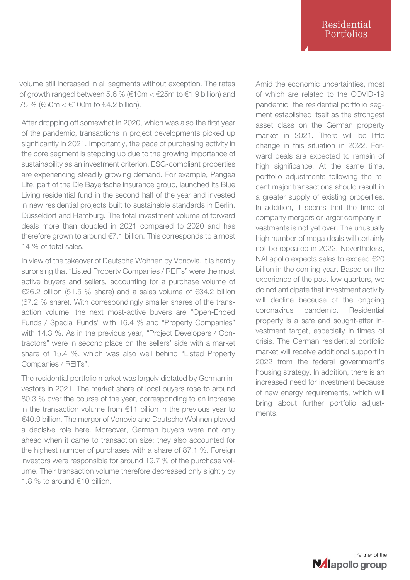volume still increased in all segments without exception. The rates of growth ranged between 5.6 % ( $€10m < £25m$  to  $€1.9$  billion) and 75 % (€50m < €100m to €4.2 billion).

After dropping off somewhat in 2020, which was also the first year of the pandemic, transactions in project developments picked up significantly in 2021. Importantly, the pace of purchasing activity in the core segment is stepping up due to the growing importance of sustainability as an investment criterion. ESG-compliant properties are experiencing steadily growing demand. For example, Pangea Life, part of the Die Bayerische insurance group, launched its Blue Living residential fund in the second half of the year and invested in new residential projects built to sustainable standards in Berlin, Düsseldorf and Hamburg. The total investment volume of forward deals more than doubled in 2021 compared to 2020 and has therefore grown to around €7.1 billion. This corresponds to almost 14 % of total sales.

In view of the takeover of Deutsche Wohnen by Vonovia, it is hardly surprising that "Listed Property Companies / REITs" were the most active buyers and sellers, accounting for a purchase volume of €26.2 billion (51.5 % share) and a sales volume of €34.2 billion (67.2 % share). With correspondingly smaller shares of the transaction volume, the next most-active buyers are "Open-Ended Funds / Special Funds" with 16.4 % and "Property Companies" with 14.3 %. As in the previous year, "Project Developers / Contractors" were in second place on the sellers' side with a market share of 15.4 %, which was also well behind "Listed Property Companies / REITs".

The residential portfolio market was largely dictated by German investors in 2021. The market share of local buyers rose to around 80.3 % over the course of the year, corresponding to an increase in the transaction volume from €11 billion in the previous year to €40.9 billion. The merger of Vonovia and Deutsche Wohnen played a decisive role here. Moreover, German buyers were not only ahead when it came to transaction size; they also accounted for the highest number of purchases with a share of 87.1 %. Foreign investors were responsible for around 19.7 % of the purchase volume. Their transaction volume therefore decreased only slightly by 1.8 % to around €10 billion.

Amid the economic uncertainties, most of which are related to the COVID-19 pandemic, the residential portfolio segment established itself as the strongest asset class on the German property market in 2021. There will be little change in this situation in 2022. Forward deals are expected to remain of high significance. At the same time, portfolio adjustments following the recent major transactions should result in a greater supply of existing properties. In addition, it seems that the time of company mergers or larger company investments is not yet over. The unusually high number of mega deals will certainly not be repeated in 2022. Nevertheless, NAI apollo expects sales to exceed €20 billion in the coming year. Based on the experience of the past few quarters, we do not anticipate that investment activity will decline because of the ongoing coronavirus pandemic. Residential property is a safe and sought-after investment target, especially in times of crisis. The German residential portfolio market will receive additional support in 2022 from the federal government's housing strategy. In addition, there is an increased need for investment because of new energy requirements, which will bring about further portfolio adjustments.